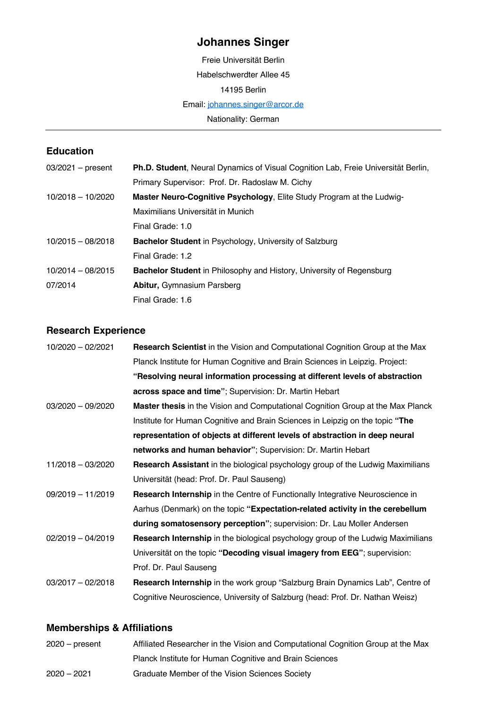# **Johannes Singer**

Freie Universität Berlin Habelschwerdter Allee 45 14195 Berlin Email: johannes.singer@arcor.de Nationality: German

#### **Education**

| $03/2021$ – present | <b>Ph.D. Student, Neural Dynamics of Visual Cognition Lab, Freie Universität Berlin,</b> |
|---------------------|------------------------------------------------------------------------------------------|
|                     | Primary Supervisor: Prof. Dr. Radoslaw M. Cichy                                          |
| $10/2018 - 10/2020$ | Master Neuro-Cognitive Psychology, Elite Study Program at the Ludwig-                    |
|                     | Maximilians Universität in Munich                                                        |
|                     | Final Grade: 1.0                                                                         |
| $10/2015 - 08/2018$ | <b>Bachelor Student</b> in Psychology, University of Salzburg                            |
|                     | Final Grade: 1.2                                                                         |
| $10/2014 - 08/2015$ | <b>Bachelor Student</b> in Philosophy and History, University of Regensburg              |
| 07/2014             | <b>Abitur, Gymnasium Parsberg</b>                                                        |
|                     | Final Grade: 1.6                                                                         |

## **Research Experience**

| 10/2020 - 02/2021   | <b>Research Scientist</b> in the Vision and Computational Cognition Group at the Max   |
|---------------------|----------------------------------------------------------------------------------------|
|                     | Planck Institute for Human Cognitive and Brain Sciences in Leipzig. Project:           |
|                     | "Resolving neural information processing at different levels of abstraction            |
|                     | across space and time"; Supervision: Dr. Martin Hebart                                 |
| $03/2020 - 09/2020$ | <b>Master thesis</b> in the Vision and Computational Cognition Group at the Max Planck |
|                     | Institute for Human Cognitive and Brain Sciences in Leipzig on the topic "The          |
|                     | representation of objects at different levels of abstraction in deep neural            |
|                     | networks and human behavior"; Supervision: Dr. Martin Hebart                           |
| 11/2018 - 03/2020   | <b>Research Assistant</b> in the biological psychology group of the Ludwig Maximilians |
|                     | Universität (head: Prof. Dr. Paul Sauseng)                                             |
| $09/2019 - 11/2019$ | Research Internship in the Centre of Functionally Integrative Neuroscience in          |
|                     | Aarhus (Denmark) on the topic "Expectation-related activity in the cerebellum          |
|                     | during somatosensory perception"; supervision: Dr. Lau Moller Andersen                 |
| $02/2019 - 04/2019$ | Research Internship in the biological psychology group of the Ludwig Maximilians       |
|                     | Universität on the topic "Decoding visual imagery from EEG"; supervision:              |
|                     | Prof. Dr. Paul Sauseng                                                                 |
| $03/2017 - 02/2018$ | Research Internship in the work group "Salzburg Brain Dynamics Lab", Centre of         |
|                     | Cognitive Neuroscience, University of Salzburg (head: Prof. Dr. Nathan Weisz)          |

### **Memberships & Affiliations**

| $2020 - present$ | Affiliated Researcher in the Vision and Computational Cognition Group at the Max |
|------------------|----------------------------------------------------------------------------------|
|                  | Planck Institute for Human Cognitive and Brain Sciences                          |
| $2020 - 2021$    | Graduate Member of the Vision Sciences Society                                   |